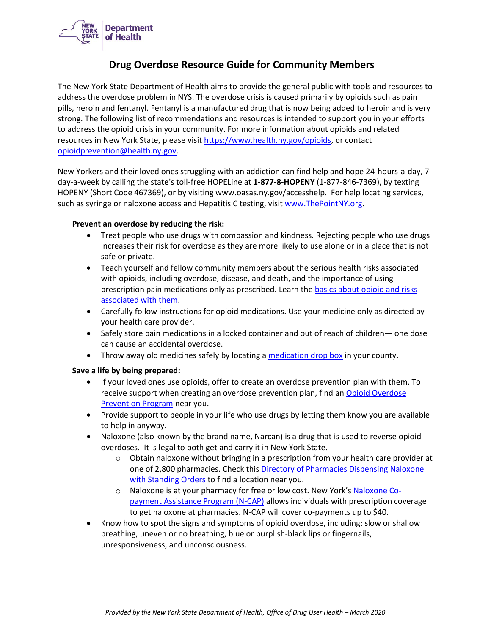

## **Drug Overdose Resource Guide for Community Members**

The New York State Department of Health aims to provide the general public with tools and resources to address the overdose problem in NYS. The overdose crisis is caused primarily by opioids such as pain pills, heroin and fentanyl. Fentanyl is a manufactured drug that is now being added to heroin and is very strong. The following list of recommendations and resources is intended to support you in your efforts to address the opioid crisis in your community. For more information about opioids and related resources in New York State, please visi[t https://www.health.ny.gov/opioids,](https://www.health.ny.gov/opioids) or contact [opioidprevention@health.ny.gov.](mailto:opioidprevention@health.ny.gov)

New Yorkers and their loved ones struggling with an addiction can find help and hope 24-hours-a-day, 7 day-a-week by calling the state's toll-free HOPELine at **1-877-8-HOPENY** (1-877-846-7369), by texting HOPENY (Short Code 467369), or by visiting www.oasas.ny.gov/accesshelp. For help locating services, such as syringe or naloxone access and Hepatitis C testing, visit [www.ThePointNY.org.](file://///doh-smb/doh_shared/CEH/central/boh/Sections/InjuryPrevention/PDO%20Grant/Syndromic%20Surveillance/Alerts%20and%20Fact%20Sheets/www.ThePointNY.org)

## **Prevent an overdose by reducing the risk:**

- Treat people who use drugs with compassion and kindness. Rejecting people who use drugs increases their risk for overdose as they are more likely to use alone or in a place that is not safe or private.
- Teach yourself and fellow community members about the serious health risks associated with opioids, including overdose, disease, and death, and the importance of using prescription pain medications only as prescribed. Learn the basics about opioid and risks [associated with them.](https://www.health.ny.gov/community/opioid_epidemic/opioid_basics.htm)
- Carefully follow instructions for opioid medications. Use your medicine only as directed by your health care provider.
- Safely store pain medications in a locked container and out of reach of children— one dose can cause an accidental overdose.
- Throw away old medicines safely by locating [a medication drop box](https://www.health.ny.gov/professionals/narcotic/medication_drop_boxes/) in your county.

## **Save a life by being prepared:**

- If your loved ones use opioids, offer to create an overdose prevention plan with them. To receive support when creating an overdose prevention plan, find a[n Opioid Overdose](https://www.health.ny.gov/diseases/aids/general/resources/oop_directory/)  [Prevention Program](https://www.health.ny.gov/diseases/aids/general/resources/oop_directory/) near you.
- Provide support to people in your life who use drugs by letting them know you are available to help in anyway.
- Naloxone (also known by the brand name, Narcan) is a drug that is used to reverse opioid overdoses. It is legal to both get and carry it in New York State.
	- $\circ$  Obtain naloxone without bringing in a prescription from your health care provider at one of 2,800 pharmacies. Check thi[s Directory of Pharmacies Dispensing Naloxone](https://www.health.ny.gov/diseases/aids/general/opioid_overdose_prevention/docs/pharmacy_directory.pdf)  [with Standing Orders](https://www.health.ny.gov/diseases/aids/general/opioid_overdose_prevention/docs/pharmacy_directory.pdf) to find a location near you.
	- o Naloxone is at your pharmacy for free or low cost. New York's [Naloxone Co](https://www.health.ny.gov/diseases/aids/general/opioid_overdose_prevention/directories.htm)[payment Assistance Program \(N-CAP\)](https://www.health.ny.gov/diseases/aids/general/opioid_overdose_prevention/directories.htm) allows individuals with prescription coverage to get naloxone at pharmacies. N-CAP will cover co-payments up to \$40.
- Know how to spot the signs and symptoms of opioid overdose, including: slow or shallow breathing, uneven or no breathing, blue or purplish-black lips or fingernails, unresponsiveness, and unconsciousness.